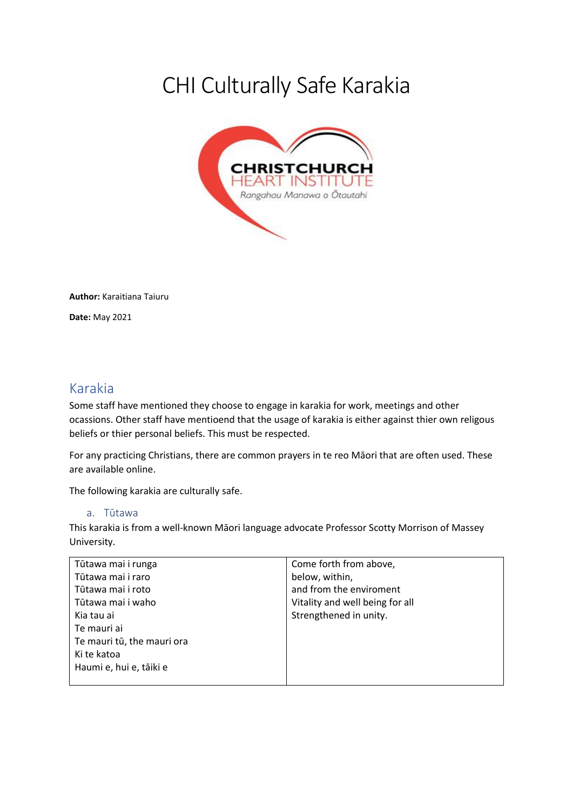# CHI Culturally Safe Karakia



**Author:** Karaitiana Taiuru **Date:** May 2021

# Karakia

Some staff have mentioned they choose to engage in karakia for work, meetings and other ocassions. Other staff have mentioend that the usage of karakia is either against thier own religous beliefs or thier personal beliefs. This must be respected.

For any practicing Christians, there are common prayers in te reo Māori that are often used. These are available online.

The following karakia are culturally safe.

#### a. Tūtawa

This karakia is from a well-known Māori language advocate Professor Scotty Morrison of Massey University.

| Tūtawa mai i runga         | Come forth from above,          |
|----------------------------|---------------------------------|
| Tūtawa mai i raro          | below, within,                  |
| Tūtawa mai i roto          | and from the enviroment         |
| Tūtawa mai i waho          | Vitality and well being for all |
| Kia tau ai                 | Strengthened in unity.          |
| Te mauri ai                |                                 |
| Te mauri tū, the mauri ora |                                 |
| Ki te katoa                |                                 |
| Haumi e, hui e, tāiki e    |                                 |
|                            |                                 |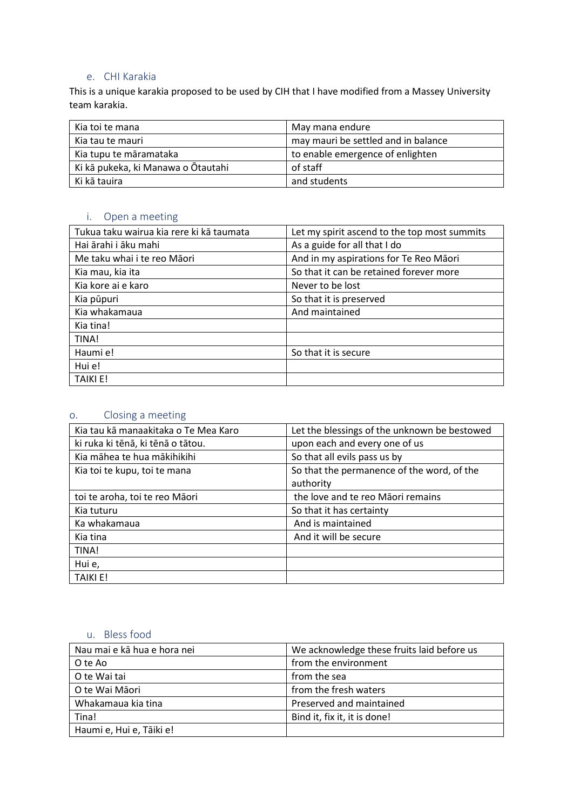#### e. CHI Karakia

This is a unique karakia proposed to be used by CIH that I have modified from a Massey University team karakia.

| Kia toi te mana                    | May mana endure                     |
|------------------------------------|-------------------------------------|
| Kia tau te mauri                   | may mauri be settled and in balance |
| Kia tupu te māramataka             | to enable emergence of enlighten    |
| Ki kā pukeka, ki Manawa o Ōtautahi | of staff                            |
| Ki kā tauira                       | and students                        |

#### i. Open a meeting

| Tukua taku wairua kia rere ki kā taumata | Let my spirit ascend to the top most summits |
|------------------------------------------|----------------------------------------------|
| Hai ārahi i āku mahi                     | As a guide for all that I do                 |
| Me taku whai i te reo Māori              | And in my aspirations for Te Reo Māori       |
| Kia mau, kia ita                         | So that it can be retained forever more      |
| Kia kore ai e karo                       | Never to be lost                             |
| Kia pūpuri                               | So that it is preserved                      |
| Kia whakamaua                            | And maintained                               |
| Kia tina!                                |                                              |
| TINA!                                    |                                              |
| Haumi e!                                 | So that it is secure                         |
| Hui e!                                   |                                              |
| <b>TAIKI E!</b>                          |                                              |

## o. Closing a meeting

| Kia tau kā manaakitaka o Te Mea Karo | Let the blessings of the unknown be bestowed |
|--------------------------------------|----------------------------------------------|
| ki ruka ki tēnā, ki tēnā o tātou.    | upon each and every one of us                |
| Kia māhea te hua mākihikihi          | So that all evils pass us by                 |
| Kia toi te kupu, toi te mana         | So that the permanence of the word, of the   |
|                                      | authority                                    |
| toi te aroha, toi te reo Māori       | the love and te reo Māori remains            |
| Kia tuturu                           | So that it has certainty                     |
| Ka whakamaua                         | And is maintained                            |
| Kia tina                             | And it will be secure                        |
| TINA!                                |                                              |
| Hui e,                               |                                              |
| <b>TAIKI E!</b>                      |                                              |

### u. Bless food

| Nau mai e kā hua e hora nei | We acknowledge these fruits laid before us |
|-----------------------------|--------------------------------------------|
| O te Ao                     | from the environment                       |
| O te Wai tai                | from the sea                               |
| O te Wai Māori              | from the fresh waters                      |
| Whakamaua kia tina          | Preserved and maintained                   |
| Tina!                       | Bind it, fix it, it is done!               |
| Haumi e, Hui e, Tāiki e!    |                                            |